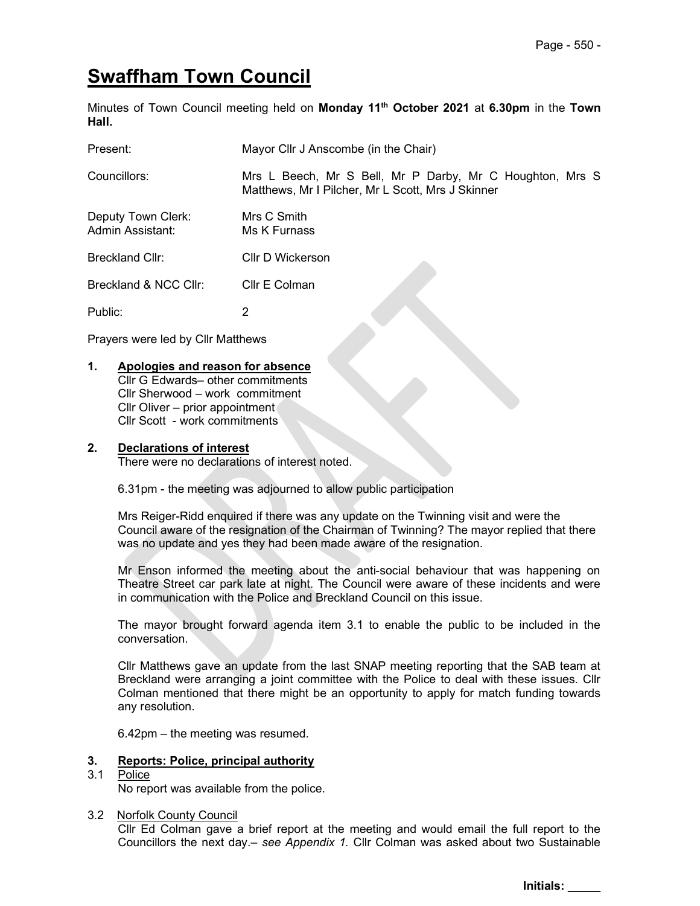# Swaffham Town Council

Minutes of Town Council meeting held on Monday 11<sup>th</sup> October 2021 at 6.30pm in the Town Hall.

| Present:                               | Mayor Cllr J Anscombe (in the Chair)                                                                          |
|----------------------------------------|---------------------------------------------------------------------------------------------------------------|
| Councillors:                           | Mrs L Beech, Mr S Bell, Mr P Darby, Mr C Houghton, Mrs S<br>Matthews, Mr I Pilcher, Mr L Scott, Mrs J Skinner |
| Deputy Town Clerk:<br>Admin Assistant: | Mrs C Smith<br>Ms K Furnass                                                                                   |
| Breckland Cllr:                        | Cllr D Wickerson                                                                                              |
| Breckland & NCC Cllr:                  | Cllr E Colman                                                                                                 |
| Public:                                | 2                                                                                                             |

Prayers were led by Cllr Matthews

# 1. Apologies and reason for absence

Cllr G Edwards– other commitments Cllr Sherwood – work commitment Cllr Oliver – prior appointment Cllr Scott - work commitments

#### 2. Declarations of interest

There were no declarations of interest noted.

6.31pm - the meeting was adjourned to allow public participation

Mrs Reiger-Ridd enquired if there was any update on the Twinning visit and were the Council aware of the resignation of the Chairman of Twinning? The mayor replied that there was no update and yes they had been made aware of the resignation.

Mr Enson informed the meeting about the anti-social behaviour that was happening on Theatre Street car park late at night. The Council were aware of these incidents and were in communication with the Police and Breckland Council on this issue.

The mayor brought forward agenda item 3.1 to enable the public to be included in the conversation.

Cllr Matthews gave an update from the last SNAP meeting reporting that the SAB team at Breckland were arranging a joint committee with the Police to deal with these issues. Cllr Colman mentioned that there might be an opportunity to apply for match funding towards any resolution.

6.42pm – the meeting was resumed.

#### 3. Reports: Police, principal authority

#### 3.1 Police

No report was available from the police.

#### 3.2 Norfolk County Council

 Cllr Ed Colman gave a brief report at the meeting and would email the full report to the Councillors the next day.– see Appendix 1. Cllr Colman was asked about two Sustainable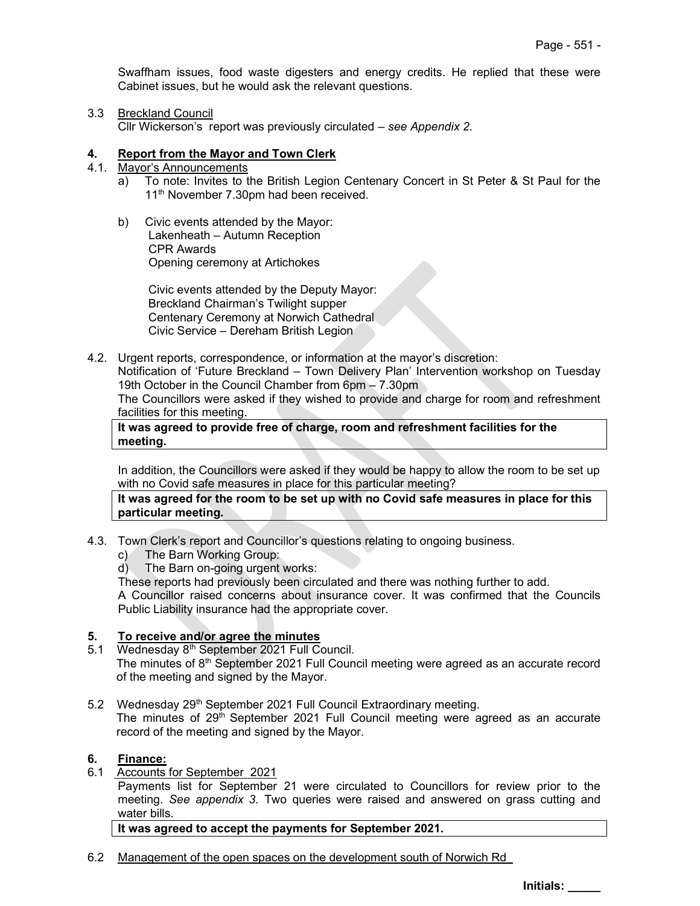Swaffham issues, food waste digesters and energy credits. He replied that these were Cabinet issues, but he would ask the relevant questions.

## 3.3 Breckland Council

Cllr Wickerson's report was previously circulated – see Appendix 2.

## 4. Report from the Mayor and Town Clerk

- 4.1. Mayor's Announcements
	- a) To note: Invites to the British Legion Centenary Concert in St Peter & St Paul for the 11<sup>th</sup> November 7.30pm had been received.
	- b) Civic events attended by the Mayor: Lakenheath – Autumn Reception CPR Awards Opening ceremony at Artichokes

Civic events attended by the Deputy Mayor: Breckland Chairman's Twilight supper Centenary Ceremony at Norwich Cathedral Civic Service – Dereham British Legion

4.2. Urgent reports, correspondence, or information at the mayor's discretion: Notification of 'Future Breckland – Town Delivery Plan' Intervention workshop on Tuesday 19th October in the Council Chamber from 6pm – 7.30pm The Councillors were asked if they wished to provide and charge for room and refreshment facilities for this meeting.

## It was agreed to provide free of charge, room and refreshment facilities for the meeting.

In addition, the Councillors were asked if they would be happy to allow the room to be set up with no Covid safe measures in place for this particular meeting?

It was agreed for the room to be set up with no Covid safe measures in place for this particular meeting.

- 4.3. Town Clerk's report and Councillor's questions relating to ongoing business.
	- c) The Barn Working Group:
	- d) The Barn on-going urgent works:
	- These reports had previously been circulated and there was nothing further to add. A Councillor raised concerns about insurance cover. It was confirmed that the Councils Public Liability insurance had the appropriate cover.

# 5. To receive and/or agree the minutes

- 5.1 Wednesday 8<sup>th</sup> September 2021 Full Council. The minutes of  $8<sup>th</sup>$  September 2021 Full Council meeting were agreed as an accurate record of the meeting and signed by the Mayor.
- 5.2 Wednesday 29<sup>th</sup> September 2021 Full Council Extraordinary meeting. The minutes of  $29<sup>th</sup>$  September 2021 Full Council meeting were agreed as an accurate record of the meeting and signed by the Mayor.

#### 6. Finance:

6.1 Accounts for September 2021

Payments list for September 21 were circulated to Councillors for review prior to the meeting. See appendix 3. Two queries were raised and answered on grass cutting and water bills.

It was agreed to accept the payments for September 2021.

6.2 Management of the open spaces on the development south of Norwich Rd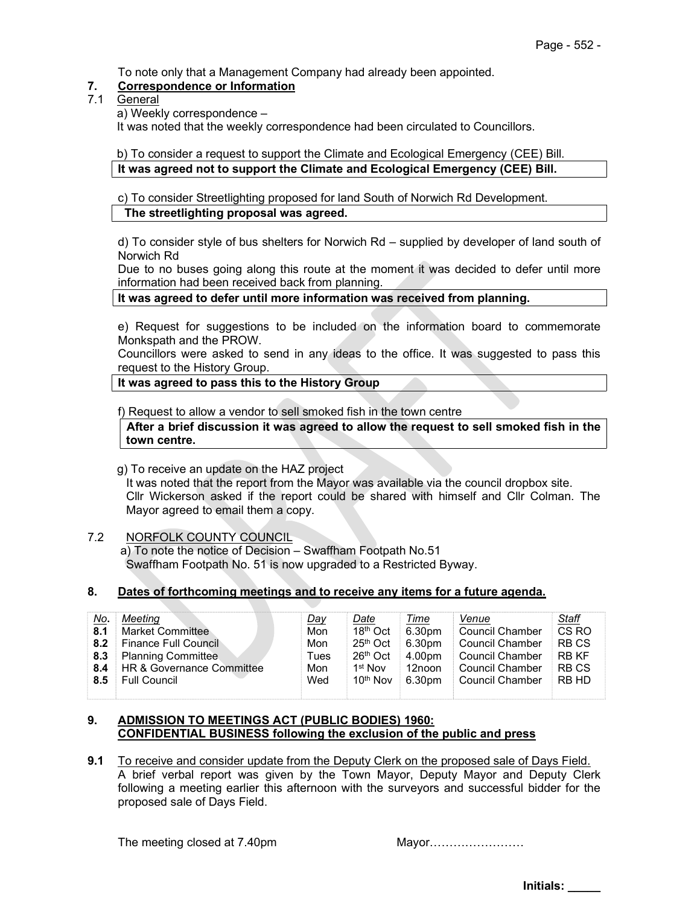To note only that a Management Company had already been appointed.

# 7. Correspondence or Information

- 7.1 General
	- a) Weekly correspondence –

It was noted that the weekly correspondence had been circulated to Councillors.

 b) To consider a request to support the Climate and Ecological Emergency (CEE) Bill. It was agreed not to support the Climate and Ecological Emergency (CEE) Bill.

c) To consider Streetlighting proposed for land South of Norwich Rd Development. The streetlighting proposal was agreed.

d) To consider style of bus shelters for Norwich Rd – supplied by developer of land south of Norwich Rd

Due to no buses going along this route at the moment it was decided to defer until more information had been received back from planning.

It was agreed to defer until more information was received from planning.

e) Request for suggestions to be included on the information board to commemorate Monkspath and the PROW.

Councillors were asked to send in any ideas to the office. It was suggested to pass this request to the History Group.

It was agreed to pass this to the History Group

f) Request to allow a vendor to sell smoked fish in the town centre

After a brief discussion it was agreed to allow the request to sell smoked fish in the town centre.

g) To receive an update on the HAZ project

It was noted that the report from the Mayor was available via the council dropbox site. Cllr Wickerson asked if the report could be shared with himself and Cllr Colman. The Mayor agreed to email them a copy.

#### 7.2 NORFOLK COUNTY COUNCIL

 a) To note the notice of Decision – Swaffham Footpath No.51 Swaffham Footpath No. 51 is now upgraded to a Restricted Byway.

#### 8. Dates of forthcoming meetings and to receive any items for a future agenda.

| 8.1<br>8.2<br>8.3<br>8.4 | <u>No.</u><br>Meeting<br>Market Committee<br><b>Finance Full Council</b><br><b>Planning Committee</b><br>HR & Governance Committee | <u>Day</u><br>Mon<br>Mon<br>Tues<br>Mon | <u>Date</u><br>18 <sup>th</sup> Oct<br>25th Oct<br>26th Oct<br>1 <sup>st</sup> Nov | <u>Time</u><br>6.30pm<br>6.30pm<br>4.00pm<br>12noon | Venue<br>Council Chamber<br>Council Chamber<br>Council Chamber<br>Council Chamber | <b>Staff</b><br>CS <sub>RO</sub><br><b>RBCS</b><br>RB KF<br><b>RBCS</b> |
|--------------------------|------------------------------------------------------------------------------------------------------------------------------------|-----------------------------------------|------------------------------------------------------------------------------------|-----------------------------------------------------|-----------------------------------------------------------------------------------|-------------------------------------------------------------------------|
| 8.5                      | <b>Full Council</b>                                                                                                                | Wed                                     | 10 <sup>th</sup> Nov                                                               | 6.30pm                                              | <b>Council Chamber</b>                                                            | RB HD                                                                   |

#### 9. ADMISSION TO MEETINGS ACT (PUBLIC BODIES) 1960: CONFIDENTIAL BUSINESS following the exclusion of the public and press

9.1 To receive and consider update from the Deputy Clerk on the proposed sale of Days Field. A brief verbal report was given by the Town Mayor, Deputy Mayor and Deputy Clerk following a meeting earlier this afternoon with the surveyors and successful bidder for the proposed sale of Days Field.

The meeting closed at 7.40pm Mayor……………………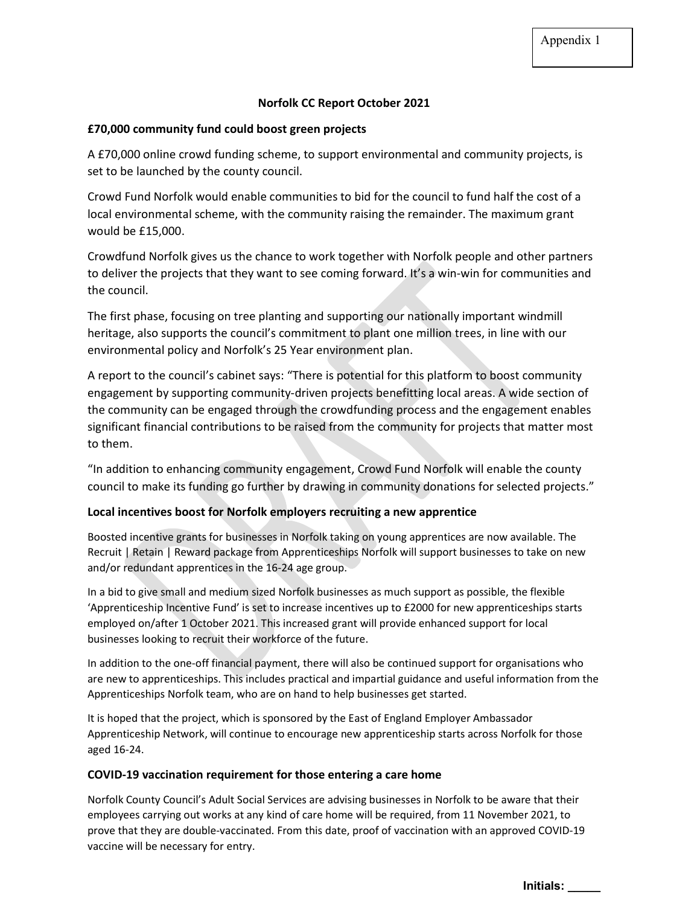## Norfolk CC Report October 2021

## £70,000 community fund could boost green projects

A £70,000 online crowd funding scheme, to support environmental and community projects, is set to be launched by the county council.

Crowd Fund Norfolk would enable communities to bid for the council to fund half the cost of a local environmental scheme, with the community raising the remainder. The maximum grant would be £15,000.

Crowdfund Norfolk gives us the chance to work together with Norfolk people and other partners to deliver the projects that they want to see coming forward. It's a win-win for communities and the council.

The first phase, focusing on tree planting and supporting our nationally important windmill heritage, also supports the council's commitment to plant one million trees, in line with our environmental policy and Norfolk's 25 Year environment plan.

A report to the council's cabinet says: "There is potential for this platform to boost community engagement by supporting community-driven projects benefitting local areas. A wide section of the community can be engaged through the crowdfunding process and the engagement enables significant financial contributions to be raised from the community for projects that matter most to them.

"In addition to enhancing community engagement, Crowd Fund Norfolk will enable the county council to make its funding go further by drawing in community donations for selected projects."

## Local incentives boost for Norfolk employers recruiting a new apprentice

Boosted incentive grants for businesses in Norfolk taking on young apprentices are now available. The Recruit | Retain | Reward package from Apprenticeships Norfolk will support businesses to take on new and/or redundant apprentices in the 16-24 age group.

In a bid to give small and medium sized Norfolk businesses as much support as possible, the flexible 'Apprenticeship Incentive Fund' is set to increase incentives up to £2000 for new apprenticeships starts employed on/after 1 October 2021. This increased grant will provide enhanced support for local businesses looking to recruit their workforce of the future.

In addition to the one-off financial payment, there will also be continued support for organisations who are new to apprenticeships. This includes practical and impartial guidance and useful information from the Apprenticeships Norfolk team, who are on hand to help businesses get started.

It is hoped that the project, which is sponsored by the East of England Employer Ambassador Apprenticeship Network, will continue to encourage new apprenticeship starts across Norfolk for those aged 16-24.

#### COVID-19 vaccination requirement for those entering a care home

Norfolk County Council's Adult Social Services are advising businesses in Norfolk to be aware that their employees carrying out works at any kind of care home will be required, from 11 November 2021, to prove that they are double-vaccinated. From this date, proof of vaccination with an approved COVID-19 vaccine will be necessary for entry.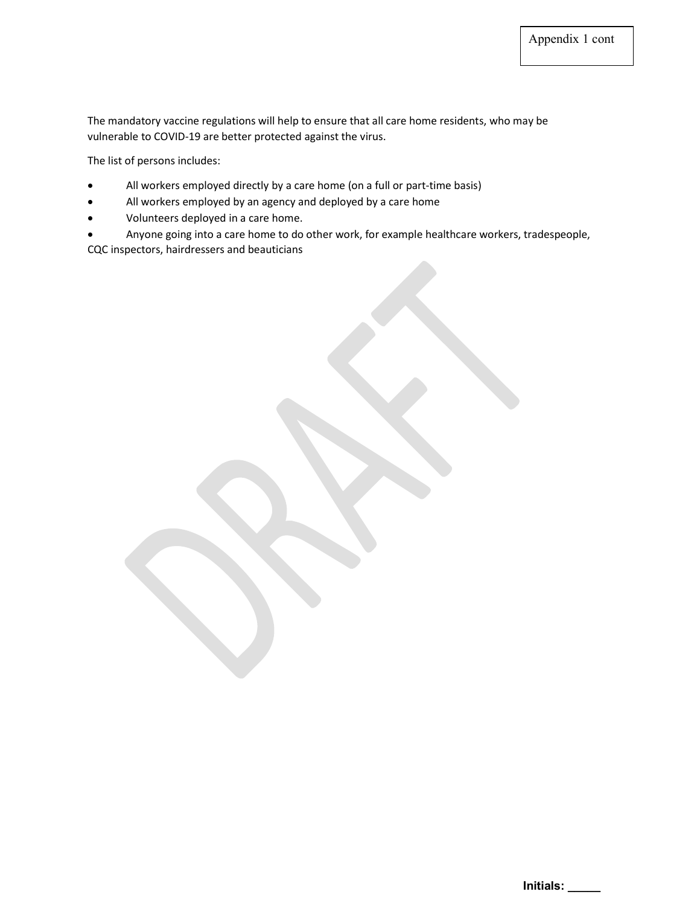The mandatory vaccine regulations will help to ensure that all care home residents, who may be vulnerable to COVID-19 are better protected against the virus.

The list of persons includes:

- All workers employed directly by a care home (on a full or part-time basis)
- All workers employed by an agency and deployed by a care home
- Volunteers deployed in a care home.
- Anyone going into a care home to do other work, for example healthcare workers, tradespeople, CQC inspectors, hairdressers and beauticians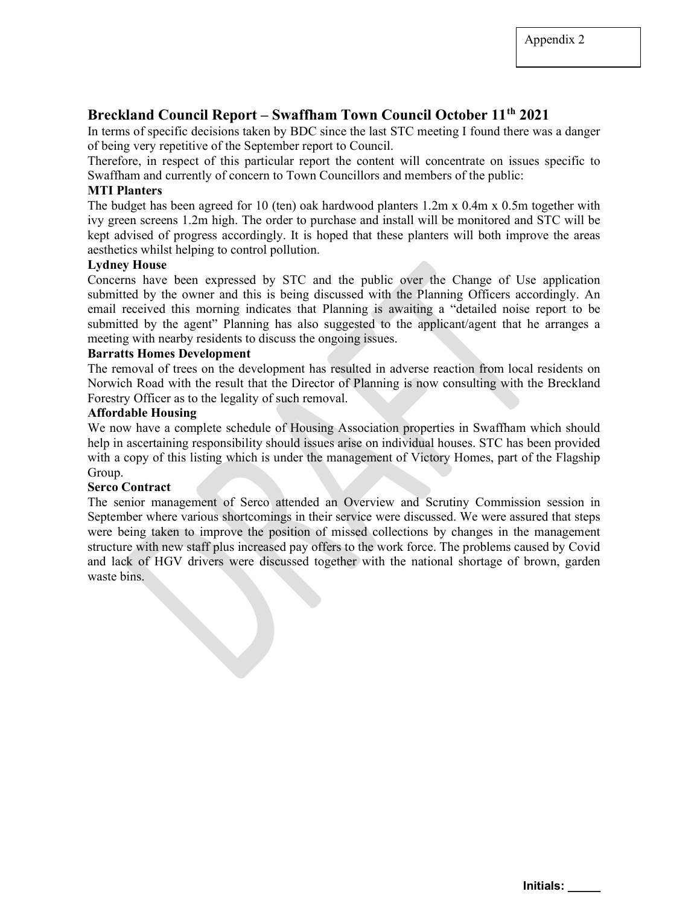# Breckland Council Report – Swaffham Town Council October 11<sup>th</sup> 2021

In terms of specific decisions taken by BDC since the last STC meeting I found there was a danger of being very repetitive of the September report to Council.

Therefore, in respect of this particular report the content will concentrate on issues specific to Swaffham and currently of concern to Town Councillors and members of the public:

#### MTI Planters

The budget has been agreed for 10 (ten) oak hardwood planters 1.2m x 0.4m x 0.5m together with ivy green screens 1.2m high. The order to purchase and install will be monitored and STC will be kept advised of progress accordingly. It is hoped that these planters will both improve the areas aesthetics whilst helping to control pollution.

#### Lydney House

Concerns have been expressed by STC and the public over the Change of Use application submitted by the owner and this is being discussed with the Planning Officers accordingly. An email received this morning indicates that Planning is awaiting a "detailed noise report to be submitted by the agent" Planning has also suggested to the applicant/agent that he arranges a meeting with nearby residents to discuss the ongoing issues.

# Barratts Homes Development

The removal of trees on the development has resulted in adverse reaction from local residents on Norwich Road with the result that the Director of Planning is now consulting with the Breckland Forestry Officer as to the legality of such removal.

# Affordable Housing

We now have a complete schedule of Housing Association properties in Swaffham which should help in ascertaining responsibility should issues arise on individual houses. STC has been provided with a copy of this listing which is under the management of Victory Homes, part of the Flagship Group.

#### Serco Contract

The senior management of Serco attended an Overview and Scrutiny Commission session in September where various shortcomings in their service were discussed. We were assured that steps were being taken to improve the position of missed collections by changes in the management structure with new staff plus increased pay offers to the work force. The problems caused by Covid and lack of HGV drivers were discussed together with the national shortage of brown, garden waste bins.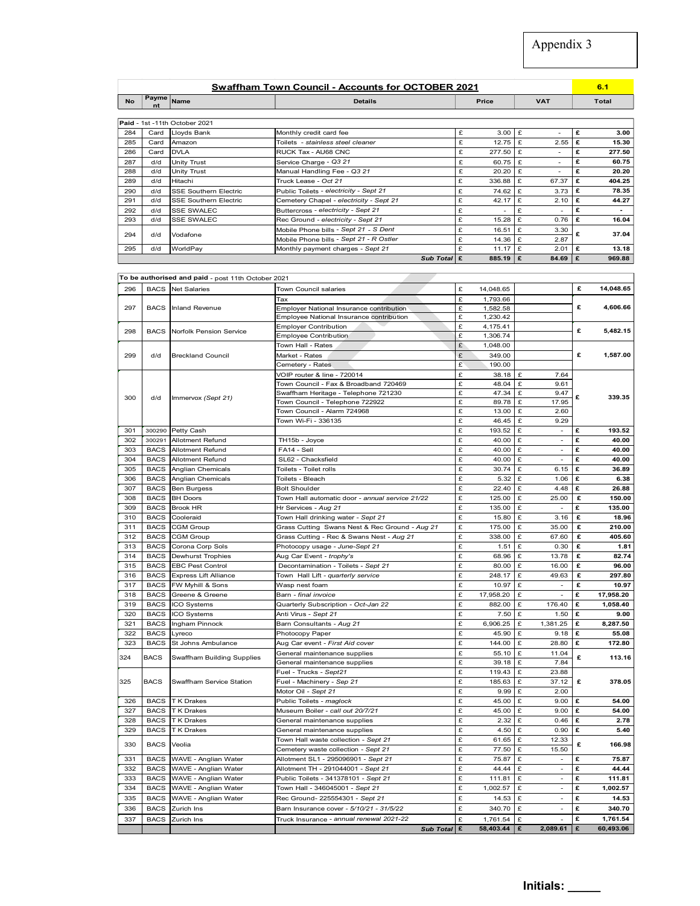|                                  | <b>Swaffham Town Council - Accounts for OCTOBER 2021</b> |              |                 | о. 1         |
|----------------------------------|----------------------------------------------------------|--------------|-----------------|--------------|
| Payme<br><b>No</b><br>Name<br>nt | <b>Details</b>                                           | <b>Price</b> | <b>VAT</b>      | <b>Total</b> |
| Paid - 1st -11th October 2021    |                                                          |              |                 |              |
| 28A<br>Card Houde Bank           | Monthly credit card fee                                  | 3.00         | <b>Contract</b> | 3.00         |

|            |             |                                                    |                                                                              |                        |                         | Appendix 3       |        |                 |
|------------|-------------|----------------------------------------------------|------------------------------------------------------------------------------|------------------------|-------------------------|------------------|--------|-----------------|
|            |             |                                                    |                                                                              |                        |                         |                  |        |                 |
|            |             |                                                    |                                                                              |                        |                         |                  |        |                 |
|            |             |                                                    |                                                                              |                        |                         |                  |        |                 |
|            |             |                                                    | <b>Swaffham Town Council - Accounts for OCTOBER 2021</b>                     |                        |                         |                  |        | 6.1             |
| <b>No</b>  | Payme Name  |                                                    | <b>Details</b>                                                               |                        | Price                   | <b>VAT</b>       |        | <b>Total</b>    |
|            |             |                                                    |                                                                              |                        |                         |                  |        |                 |
|            |             | Paid - 1st -11th October 2021                      |                                                                              |                        |                         |                  |        |                 |
| 284        | Card        | Lloyds Bank                                        | Monthly credit card fee                                                      | £                      | $3.00$ $E$              | $\sim$           | £      | 3.00            |
| 285        | Card        | Amazon                                             | Toilets - stainless steel cleaner                                            | £                      | $12.75$ £               | 2.55             | £      | 15.30           |
| 286        | Card        | <b>DVLA</b>                                        | RUCK Tax - AU68 CNC                                                          | £<br>£                 | 277.50 $E$<br>60.75 $E$ | $\sim$<br>$\sim$ | £<br>£ | 277.50<br>60.75 |
| 287<br>288 | d/d<br>d/d  | Unity Trust<br><b>Unity Trust</b>                  | Service Charge - Q3 21<br>Manual Handling Fee - Q3 21                        | £                      | $20.20$ £               | $\omega$         | £      | 20.20           |
| 289        | d/d         | Hitachi                                            | Truck Lease - Oct 21                                                         | £                      | 336.88 $E$              | 67.37            | £      | 404.25          |
| 290        | d/d         | SSE Southern Electric                              | Public Toilets - electricity - Sept 21                                       | £                      | 74.62                   | 3.73<br>£        | £      | 78.35           |
| 291        | d/d         | <b>SSE Southern Electric</b>                       | Cemetery Chapel - electricity - Sept 21                                      | £                      | 42.17 $E$               | 2.10             | £      | 44.27           |
| 292        | d/d         | SSE SWALEC                                         | Buttercross - electricity - Sept 21                                          | £                      | $\omega$                | Ι£<br>$\sim$     | £      | $\sim$          |
| 293        | d/d         | <b>SSE SWALEC</b>                                  | Rec Ground - electricity - Sept 21                                           | £                      | $15.28$ £               | 0.76             | £      | 16.04           |
| 294        | d/d         | Vodafone                                           | Mobile Phone bills - Sept 21 - S Dent                                        | £                      | $16.51$ £               | 3.30             | £      | 37.04           |
|            | d/d         | WorldPay                                           | Mobile Phone bills - Sept 21 - R Ostler<br>Monthly payment charges - Sept 21 | £<br>£                 | 14.36 $E$<br>11.17 $E$  | 2.87<br>2.01     | £      | 13.18           |
|            |             |                                                    |                                                                              | Sub Total $\mathbf{E}$ | 885.19 $E$              | 84.69            | ء ا    | 969.88          |
| 295        |             |                                                    |                                                                              |                        |                         |                  |        |                 |
|            |             | To be authorised and paid - post 11th October 2021 |                                                                              |                        |                         |                  |        |                 |
|            |             |                                                    | Town Council salaries                                                        | £                      | 14,048.65               |                  | £      | 14,048.65       |
| 296        |             | <b>BACS</b> Net Salaries                           |                                                                              | £                      | 1,793.66                |                  |        |                 |
|            |             |                                                    | Tax                                                                          |                        | 1,582.58                |                  | £      | 4,606.66        |
| 297        | <b>BACS</b> | <b>Inland Revenue</b>                              | Employer National Insurance contribution                                     | £                      |                         |                  |        |                 |
|            |             |                                                    | Employee National Insurance contribution                                     | £                      | 1,230.42                |                  |        |                 |
| 298        | <b>BACS</b> | Norfolk Pension Service                            | <b>Employer Contribution</b>                                                 | £                      | 4,175.41                |                  | £      | 5,482.15        |
|            |             |                                                    | Employee Contribution                                                        | £                      | 1,306.74                |                  |        |                 |
|            |             |                                                    | Town Hall - Rates                                                            | £                      | 1,048.00                |                  |        |                 |
| 299        | d/d         | <b>Breckland Council</b>                           | Market - Rates                                                               | £                      | 349.00                  |                  | £      | 1,587.00        |
|            |             |                                                    | Cemetery - Rates                                                             | E<br>£                 | 190.00                  |                  |        |                 |
|            |             |                                                    | VOIP router & line - 720014<br>Town Council - Fax & Broadband 720469         | £                      | $38.18$ £<br>48.04 $E$  | 7.64<br>9.61     |        |                 |

|            |                            |                                                    |                                                                                      |        |                                   |         | Appendix 3                         |        |                    |
|------------|----------------------------|----------------------------------------------------|--------------------------------------------------------------------------------------|--------|-----------------------------------|---------|------------------------------------|--------|--------------------|
|            |                            |                                                    | <b>Swaffham Town Council - Accounts for OCTOBER 2021</b>                             |        |                                   |         |                                    |        | 6.1                |
| No         | Payme Name                 |                                                    | <b>Details</b>                                                                       |        | Price                             |         | <b>VAT</b>                         |        | <b>Total</b>       |
|            |                            | Paid - 1st -11th October 2021                      |                                                                                      |        |                                   |         |                                    |        |                    |
| 284        | Card                       | Lloyds Bank                                        | Monthly credit card fee                                                              | £      | 3.00                              | £       | $\overline{\phantom{a}}$           | £      | 3.00               |
| 285        | Card                       | Amazon                                             | Toilets - stainless steel cleaner                                                    | £      | 12.75                             | £       | 2.55                               | £      | 15.30              |
| 286<br>287 | Card<br>d/d                | <b>DVLA</b><br>Unity Trust                         | RUCK Tax - AU68 CNC<br>Service Charge - Q3 21                                        | £<br>£ | 277.50<br>60.75                   | £<br>£  | $\overline{\phantom{a}}$<br>$\sim$ | £<br>£ | 277.50<br>60.75    |
| 288        | d/d                        | <b>Unity Trust</b>                                 | Manual Handling Fee - Q3 21                                                          | £      | 20.20                             | £       | $\blacksquare$                     | £      | 20.20              |
| 289        | d/d                        | Hitachi                                            | Truck Lease - Oct 21                                                                 | £      | 336.88                            | £       | 67.37                              | £      | 404.25             |
| 290        | d/d                        | <b>SSE Southern Electric</b>                       | Public Toilets - electricity - Sept 21                                               | £      | 74.62                             | £       | 3.73                               | £      | 78.35              |
| 291        | d/d                        | <b>SSE Southern Electric</b>                       | Cemetery Chapel - electricity - Sept 21                                              | £      | 42.17                             | £       | 2.10                               | £      | 44.27              |
| 292<br>293 | d/d<br>d/d                 | <b>SSE SWALEC</b><br><b>SSE SWALEC</b>             | Buttercross - electricity - Sept 21<br>Rec Ground - electricity - Sept 21            | £<br>£ | $\overline{\phantom{a}}$<br>15.28 | £<br>£  | $\overline{\phantom{a}}$<br>0.76   | £<br>£ | $\sim$<br>16.04    |
|            |                            |                                                    | Mobile Phone bills - Sept 21 - S Dent                                                | £      | 16.51                             | £       | 3.30                               |        |                    |
| 294        | d/d                        | Vodafone                                           | Mobile Phone bills - Sept 21 - R Ostler                                              | £      | 14.36                             | £       | 2.87                               | £      | 37.04              |
| 295        | d/d                        | WorldPay                                           | Monthly payment charges - Sept 21                                                    | £      | 11.17                             | £       | 2.01                               | Ι£     | 13.18              |
|            |                            |                                                    | Sub Total E                                                                          |        | 885.19                            | Ι£      | 84.69                              | £      | 969.88             |
|            |                            | To be authorised and paid - post 11th October 2021 |                                                                                      |        |                                   |         |                                    |        |                    |
| 296        | <b>BACS</b>                | <b>Net Salaries</b>                                | Town Council salaries                                                                | £      | 14,048.65                         |         |                                    | £      | 14,048.65          |
|            |                            |                                                    | Tax                                                                                  | £      | 1,793.66                          |         |                                    |        |                    |
| 297        | <b>BACS</b>                | Inland Revenue                                     | Employer National Insurance contribution                                             | £      | 1,582.58                          |         |                                    | £      | 4,606.66           |
|            |                            |                                                    | Employee National Insurance contribution                                             | £      | 1,230.42                          |         |                                    |        |                    |
| 298        | <b>BACS</b>                | Norfolk Pension Service                            | <b>Employer Contribution</b><br><b>Employee Contribution</b>                         | £<br>£ | 4,175.41<br>1,306.74              |         |                                    | £      | 5,482.15           |
|            |                            |                                                    | Town Hall - Rates                                                                    | £      | 1,048.00                          |         |                                    |        |                    |
| 299        | d/d                        | <b>Breckland Council</b>                           | Market - Rates                                                                       | £      | 349.00                            |         |                                    | £      | 1,587.00           |
|            |                            |                                                    | Cemetery - Rates                                                                     | £      | 190.00                            |         |                                    |        |                    |
|            |                            |                                                    | VOIP router & line - 720014                                                          | £      | $38.18$ £                         |         | 7.64                               |        |                    |
|            |                            |                                                    | Town Council - Fax & Broadband 720469<br>Swaffham Heritage - Telephone 721230        | £<br>£ | 48.04<br>47.34                    | £<br>£  | 9.61<br>9.47                       |        |                    |
| 300        | d/d                        | Immervox (Sept 21)                                 | Town Council - Telephone 722922                                                      | £      | 89.78                             | £       | 17.95                              | £      | 339.35             |
|            |                            |                                                    | Town Council - Alarm 724968                                                          | £      | 13.00                             |         | 2.60                               |        |                    |
|            |                            |                                                    | Town Wi-Fi - 336135                                                                  | £      | 46.45                             | £       | 9.29                               |        |                    |
| 301        | 300290                     | Petty Cash                                         |                                                                                      | £      | 193.52                            | £       | $\sim$                             | £      | 193.52             |
| 302        | 300291<br><b>BACS</b>      | Allotment Refund<br>Allotment Refund               | TH15b - Joyce<br>FA14 - Sell                                                         | £<br>£ | 40.00                             | £<br>£  | $\overline{\phantom{a}}$<br>$\sim$ | £<br>£ | 40.00<br>40.00     |
| 303<br>304 | <b>BACS</b>                | Allotment Refund                                   | SL62 - Chacksfield                                                                   | £      | 40.00<br>40.00                    | £       | $\overline{\phantom{a}}$           | £      | 40.00              |
| 305        | <b>BACS</b>                | Anglian Chemicals                                  | Toilets - Toilet rolls                                                               | £      | 30.74                             | £       | 6.15                               | £      | 36.89              |
| 306        | <b>BACS</b>                | Anglian Chemicals                                  | Toilets - Bleach                                                                     | £      | 5.32                              | £       | 1.06                               | £      | 6.38               |
| 307        | <b>BACS</b>                | <b>Ben Burgess</b>                                 | <b>Bolt Shoulder</b>                                                                 | £      | 22.40                             | £       | 4.48                               | £      | 26.88              |
| 308        | <b>BACS</b>                | <b>BH Doors</b>                                    | Town Hall automatic door - annual service 21/22                                      | £      | 125.00                            | £       | 25.00                              | £      | 150.00             |
| 309        | <b>BACS</b>                | <b>Brook HR</b>                                    | Hr Services - Aug 21                                                                 | £      | 135.00                            | £       | $\overline{\phantom{a}}$           | £      | 135.00             |
| 310<br>311 | <b>BACS</b><br><b>BACS</b> | Cooleraid<br><b>CGM Group</b>                      | Town Hall drinking water - Sept 21<br>Grass Cutting Swans Nest & Rec Ground - Aug 21 | £<br>£ | 15.80<br>175.00                   | £       | 3.16<br>35.00                      | £<br>£ | 18.96<br>210.00    |
| 312        | <b>BACS</b>                | <b>CGM Group</b>                                   | Grass Cutting - Rec & Swans Nest - Aug 21                                            | £      | 338.00                            | £       | 67.60                              | £      | 405.60             |
| 313        |                            | BACS Corona Corp Sols                              | Photocopy usage - June-Sept 21                                                       | £      | 1.51                              | £       | 0.30                               | £      | 1.81               |
| 314        | <b>BACS</b>                | <b>Dewhurst Trophies</b>                           | Aug Car Event - trophy's                                                             | £      | 68.96                             | £       | 13.78                              | £      | 82.74              |
| 315        | <b>BACS</b>                | <b>EBC Pest Control</b>                            | Decontamination - Toilets - Sept 21                                                  | £      | 80.00                             | £       | 16.00                              | £      | 96.00              |
| 316        | <b>BACS</b>                | <b>Express Lift Alliance</b>                       | Town Hall Lift - quarterly service                                                   | £      | 248.17                            | £       | 49.63                              | £      | 297.80             |
| 317<br>318 | <b>BACS</b><br><b>BACS</b> | FW Myhill & Sons<br>Greene & Greene                | Wasp nest foam<br>Barn - final invoice                                               | £<br>£ | 10.97<br>17,958.20                | £<br>£  | $\sim$<br>$\sim$                   | £<br>£ | 10.97<br>17,958.20 |
| 319        | <b>BACS</b>                | ICO Systems                                        | Quarterly Subscription - Oct-Jan 22                                                  | £      | 882.00                            | £       | 176.40                             | £      | 1,058.40           |
| 320        | <b>BACS</b>                | ICO Systems                                        | Anti Virus - Sept 21                                                                 | £      | 7.50                              | £       | 1.50                               | £      | 9.00               |
| 321        | <b>BACS</b>                | Ingham Pinnock                                     | Barn Consultants - Aug 21                                                            | £      | 6,906.25                          | £       | 1,381.25                           | £      | 8,287.50           |
| 322        | <b>BACS</b>                | _yreco                                             | Photocopy Paper                                                                      | £      | 45.90                             | £       | 9.18                               | £      | 55.08              |
| 323        | <b>BACS</b>                | St Johns Ambulance                                 | Aug Car event - <i>First Aid cover</i>                                               | £      | 144.00                            | £       | 28.80                              | £      | 172.80             |
| 324        | <b>BACS</b>                | <b>Swaffham Building Supplies</b>                  | General maintenance supplies                                                         | £      | 55.10                             | £       | 11.04                              | £      | 113.16             |
|            |                            |                                                    | General maintenance supplies<br>Fuel - Trucks - Sept21                               | £<br>£ | 39.18<br>119.43                   | £<br>£  | 7.84<br>23.88                      |        |                    |
| 325        | <b>BACS</b>                | Swaffham Service Station                           | Fuel - Machinery - Sep 21                                                            | £      | 185.63                            | £       | 37.12                              | £      | 378.05             |
|            |                            |                                                    | Motor Oil - Sept 21                                                                  | £      | 9.99                              | £       | 2.00                               |        |                    |
| 326        | <b>BACS</b>                | T K Drakes                                         | Public Toilets - maglock                                                             | £      | 45.00                             | £       | 9.00                               | £      | 54.00              |
| 327        | <b>BACS</b>                | T K Drakes                                         | Museum Boiler - call out 20/7/21                                                     | £      | 45.00                             | £       | 9.00                               | £      | 54.00              |
| 328        | <b>BACS</b>                | T K Drakes                                         | General maintenance supplies                                                         | £      | 2.32                              | £       | 0.46                               | £      | 2.78               |
| 329        | <b>BACS</b>                | T K Drakes                                         | General maintenance supplies                                                         | £<br>£ | 4.50                              | £       | 0.90                               | £      | 5.40               |
| 330        | <b>BACS</b>                | Veolia                                             | Town Hall waste collection - Sept 21<br>Cemetery waste collection - Sept 21          | £      | 61.65<br>77.50                    | £<br>£  | 12.33<br>15.50                     | £      | 166.98             |
| 331        | <b>BACS</b>                | WAVE - Anglian Water                               | Allotment SL1 - 295096901 - Sept 21                                                  | £      | 75.87                             | £       | $\overline{\phantom{a}}$           | £      | 75.87              |
| 332        | <b>BACS</b>                | WAVE - Anglian Water                               | Allotment TH - 291044001 - Sept 21                                                   | £      | 44.44                             | £       | $\sim$                             | £      | 44.44              |
| 333        | <b>BACS</b>                | WAVE - Anglian Water                               | Public Toilets - 341378101 - Sept 21                                                 | £      | 111.81                            | £       | $\blacksquare$                     | £      | 111.81             |
| 334        | <b>BACS</b>                | WAVE - Anglian Water                               | Town Hall - 346045001 - Sept 21                                                      | £      | 1,002.57                          | £       | $\overline{\phantom{a}}$           | £      | 1,002.57           |
| 335        | <b>BACS</b>                | WAVE - Anglian Water                               | Rec Ground- 225554301 - Sept 21                                                      | £      | 14.53                             | £       | $\overline{\phantom{a}}$           | £      | 14.53              |
| 336<br>337 | <b>BACS</b><br><b>BACS</b> | Zurich Ins                                         | Barn Insurance cover - 5/10/21 - 31/5/22                                             | £<br>£ | 340.70<br>1,761.54                | Ι£<br>£ | $\overline{\phantom{a}}$<br>$\sim$ | £<br>£ | 340.70<br>1,761.54 |
|            |                            | Zurich Ins                                         | Truck Insurance - annual renewal 2021-22<br>Sub Total £                              |        | 58,403.44                         | £       | 2,089.61                           | £      | 60,493.06          |
|            |                            |                                                    |                                                                                      |        |                                   |         |                                    |        |                    |